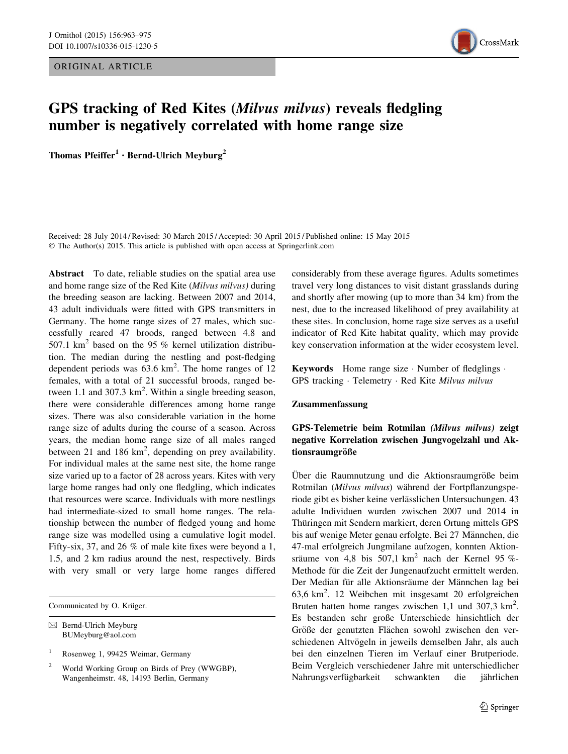ORIGINAL ARTICLE



# GPS tracking of Red Kites (Milvus milvus) reveals fledgling number is negatively correlated with home range size

Thomas Pfeiffer<sup>1</sup> · Bernd-Ulrich Meyburg<sup>2</sup>

Received: 28 July 2014 / Revised: 30 March 2015 / Accepted: 30 April 2015 / Published online: 15 May 2015 © The Author(s) 2015. This article is published with open access at Springerlink.com

Abstract To date, reliable studies on the spatial area use and home range size of the Red Kite (Milvus milvus) during the breeding season are lacking. Between 2007 and 2014, 43 adult individuals were fitted with GPS transmitters in Germany. The home range sizes of 27 males, which successfully reared 47 broods, ranged between 4.8 and 507.1 km<sup>2</sup> based on the 95 % kernel utilization distribution. The median during the nestling and post-fledging dependent periods was  $63.6 \text{ km}^2$ . The home ranges of 12 females, with a total of 21 successful broods, ranged between 1.1 and  $307.3 \text{ km}^2$ . Within a single breeding season, there were considerable differences among home range sizes. There was also considerable variation in the home range size of adults during the course of a season. Across years, the median home range size of all males ranged between 21 and 186  $km^2$ , depending on prey availability. For individual males at the same nest site, the home range size varied up to a factor of 28 across years. Kites with very large home ranges had only one fledgling, which indicates that resources were scarce. Individuals with more nestlings had intermediate-sized to small home ranges. The relationship between the number of fledged young and home range size was modelled using a cumulative logit model. Fifty-six, 37, and 26 % of male kite fixes were beyond a 1, 1.5, and 2 km radius around the nest, respectively. Birds with very small or very large home ranges differed

Communicated by O. Krüger.

 $\boxtimes$  Bernd-Ulrich Meyburg BUMeyburg@aol.com

Rosenweg 1, 99425 Weimar, Germany

<sup>2</sup> World Working Group on Birds of Prey (WWGBP), Wangenheimstr. 48, 14193 Berlin, Germany

considerably from these average figures. Adults sometimes travel very long distances to visit distant grasslands during and shortly after mowing (up to more than 34 km) from the nest, due to the increased likelihood of prey availability at these sites. In conclusion, home rage size serves as a useful indicator of Red Kite habitat quality, which may provide key conservation information at the wider ecosystem level.

Keywords Home range size · Number of fledglings · GPS tracking · Telemetry · Red Kite Milvus milvus

### Zusammenfassung

# GPS-Telemetrie beim Rotmilan (Milvus milvus) zeigt negative Korrelation zwischen Jungvogelzahl und Aktionsraumgröße

Über die Raumnutzung und die Aktionsraumgröße beim Rotmilan (Milvus milvus) während der Fortpflanzungsperiode gibt es bisher keine verlässlichen Untersuchungen. 43 adulte Individuen wurden zwischen 2007 und 2014 in Thüringen mit Sendern markiert, deren Ortung mittels GPS bis auf wenige Meter genau erfolgte. Bei 27 Männchen, die 47-mal erfolgreich Jungmilane aufzogen, konnten Aktionsräume von 4,8 bis 507,1 km<sup>2</sup> nach der Kernel 95 %-Methode für die Zeit der Jungenaufzucht ermittelt werden. Der Median für alle Aktionsräume der Männchen lag bei 63,6 km<sup>2</sup> . 12 Weibchen mit insgesamt 20 erfolgreichen Bruten hatten home ranges zwischen 1,1 und 307,3  $\text{km}^2$ . Es bestanden sehr große Unterschiede hinsichtlich der Größe der genutzten Flächen sowohl zwischen den verschiedenen Altvögeln in jeweils demselben Jahr, als auch bei den einzelnen Tieren im Verlauf einer Brutperiode. Beim Vergleich verschiedener Jahre mit unterschiedlicher Nahrungsverfügbarkeit schwankten die jährlichen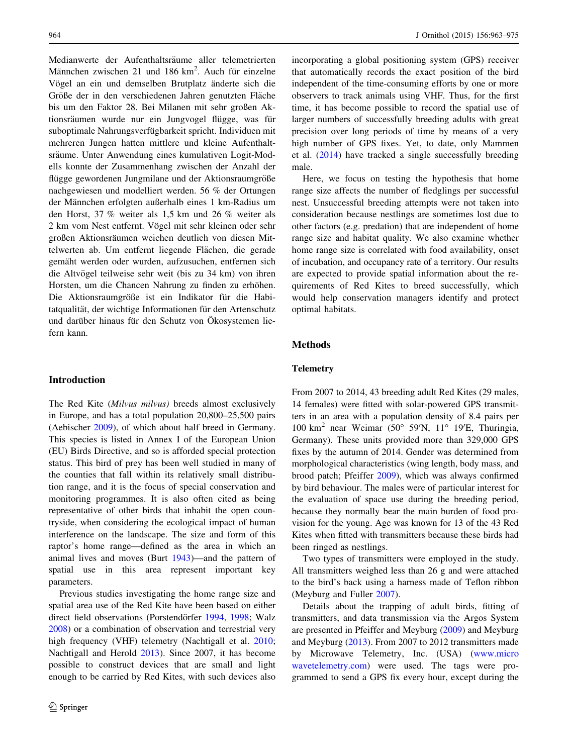Medianwerte der Aufenthaltsräume aller telemetrierten Männchen zwischen 21 und 186 km<sup>2</sup>. Auch für einzelne Vögel an ein und demselben Brutplatz änderte sich die Größe der in den verschiedenen Jahren genutzten Fläche bis um den Faktor 28. Bei Milanen mit sehr großen Aktionsräumen wurde nur ein Jungvogel flügge, was für suboptimale Nahrungsverfügbarkeit spricht. Individuen mit mehreren Jungen hatten mittlere und kleine Aufenthaltsräume. Unter Anwendung eines kumulativen Logit-Modells konnte der Zusammenhang zwischen der Anzahl der flügge gewordenen Jungmilane und der Aktionsraumgröße nachgewiesen und modelliert werden. 56 % der Ortungen der Männchen erfolgten außerhalb eines 1 km-Radius um den Horst, 37 % weiter als 1,5 km und 26 % weiter als 2 km vom Nest entfernt. Vögel mit sehr kleinen oder sehr großen Aktionsräumen weichen deutlich von diesen Mittelwerten ab. Um entfernt liegende Flächen, die gerade gemäht werden oder wurden, aufzusuchen, entfernen sich die Altvögel teilweise sehr weit (bis zu 34 km) von ihren Horsten, um die Chancen Nahrung zu finden zu erhöhen. Die Aktionsraumgröße ist ein Indikator für die Habitatqualität, der wichtige Informationen für den Artenschutz und darüber hinaus für den Schutz von Ökosystemen liefern kann.

# Introduction

The Red Kite (Milvus milvus) breeds almost exclusively in Europe, and has a total population 20,800–25,500 pairs (Aebischer [2009](#page-11-0)), of which about half breed in Germany. This species is listed in Annex I of the European Union (EU) Birds Directive, and so is afforded special protection status. This bird of prey has been well studied in many of the counties that fall within its relatively small distribution range, and it is the focus of special conservation and monitoring programmes. It is also often cited as being representative of other birds that inhabit the open countryside, when considering the ecological impact of human interference on the landscape. The size and form of this raptor's home range—defined as the area in which an animal lives and moves (Burt [1943](#page-11-0))—and the pattern of spatial use in this area represent important key parameters.

Previous studies investigating the home range size and spatial area use of the Red Kite have been based on either direct field observations (Porstendörfer [1994](#page-12-0), [1998](#page-12-0); Walz [2008\)](#page-12-0) or a combination of observation and terrestrial very high frequency (VHF) telemetry (Nachtigall et al. [2010](#page-11-0); Nachtigall and Herold [2013\)](#page-11-0). Since 2007, it has become possible to construct devices that are small and light enough to be carried by Red Kites, with such devices also incorporating a global positioning system (GPS) receiver that automatically records the exact position of the bird independent of the time-consuming efforts by one or more observers to track animals using VHF. Thus, for the first time, it has become possible to record the spatial use of larger numbers of successfully breeding adults with great precision over long periods of time by means of a very high number of GPS fixes. Yet, to date, only Mammen et al. ([2014\)](#page-11-0) have tracked a single successfully breeding male.

Here, we focus on testing the hypothesis that home range size affects the number of fledglings per successful nest. Unsuccessful breeding attempts were not taken into consideration because nestlings are sometimes lost due to other factors (e.g. predation) that are independent of home range size and habitat quality. We also examine whether home range size is correlated with food availability, onset of incubation, and occupancy rate of a territory. Our results are expected to provide spatial information about the requirements of Red Kites to breed successfully, which would help conservation managers identify and protect optimal habitats.

### Methods

# **Telemetry**

From 2007 to 2014, 43 breeding adult Red Kites (29 males, 14 females) were fitted with solar-powered GPS transmitters in an area with a population density of 8.4 pairs per  $100 \text{ km}^2$  near Weimar (50° 59'N, 11° 19'E, Thuringia, Germany). These units provided more than 329,000 GPS fixes by the autumn of 2014. Gender was determined from morphological characteristics (wing length, body mass, and brood patch; Pfeiffer [2009\)](#page-12-0), which was always confirmed by bird behaviour. The males were of particular interest for the evaluation of space use during the breeding period, because they normally bear the main burden of food provision for the young. Age was known for 13 of the 43 Red Kites when fitted with transmitters because these birds had been ringed as nestlings.

Two types of transmitters were employed in the study. All transmitters weighed less than 26 g and were attached to the bird's back using a harness made of Teflon ribbon (Meyburg and Fuller [2007](#page-11-0)).

Details about the trapping of adult birds, fitting of transmitters, and data transmission via the Argos System are presented in Pfeiffer and Meyburg ([2009\)](#page-12-0) and Meyburg and Meyburg [\(2013](#page-11-0)). From 2007 to 2012 transmitters made by Microwave Telemetry, Inc. (USA) ([www.micro](http://www.microwavetelemetry.com) [wavetelemetry.com\)](http://www.microwavetelemetry.com) were used. The tags were programmed to send a GPS fix every hour, except during the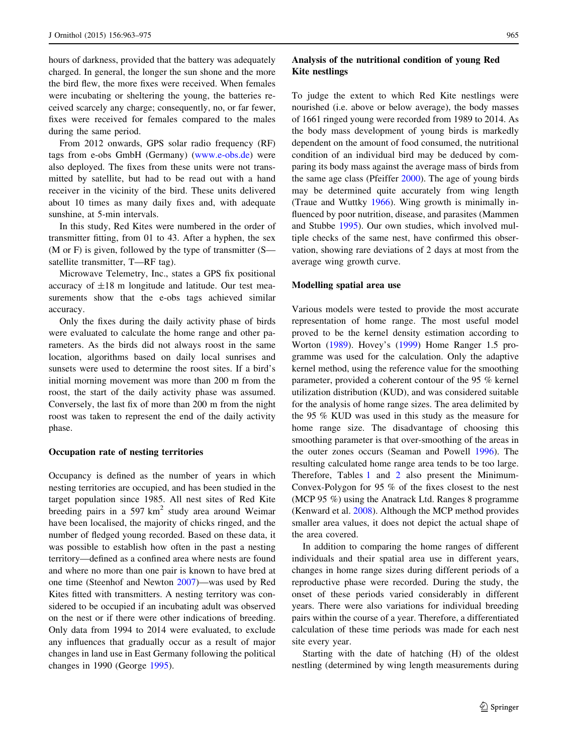hours of darkness, provided that the battery was adequately charged. In general, the longer the sun shone and the more the bird flew, the more fixes were received. When females were incubating or sheltering the young, the batteries received scarcely any charge; consequently, no, or far fewer, fixes were received for females compared to the males during the same period.

From 2012 onwards, GPS solar radio frequency (RF) tags from e-obs GmbH (Germany) [\(www.e-obs.de\)](http://www.e-obs.de) were also deployed. The fixes from these units were not transmitted by satellite, but had to be read out with a hand receiver in the vicinity of the bird. These units delivered about 10 times as many daily fixes and, with adequate sunshine, at 5-min intervals.

In this study, Red Kites were numbered in the order of transmitter fitting, from 01 to 43. After a hyphen, the sex (M or F) is given, followed by the type of transmitter (S satellite transmitter, T—RF tag).

Microwave Telemetry, Inc., states a GPS fix positional accuracy of  $\pm 18$  m longitude and latitude. Our test measurements show that the e-obs tags achieved similar accuracy.

Only the fixes during the daily activity phase of birds were evaluated to calculate the home range and other parameters. As the birds did not always roost in the same location, algorithms based on daily local sunrises and sunsets were used to determine the roost sites. If a bird's initial morning movement was more than 200 m from the roost, the start of the daily activity phase was assumed. Conversely, the last fix of more than 200 m from the night roost was taken to represent the end of the daily activity phase.

#### Occupation rate of nesting territories

Occupancy is defined as the number of years in which nesting territories are occupied, and has been studied in the target population since 1985. All nest sites of Red Kite breeding pairs in a 597  $km^2$  study area around Weimar have been localised, the majority of chicks ringed, and the number of fledged young recorded. Based on these data, it was possible to establish how often in the past a nesting territory—defined as a confined area where nests are found and where no more than one pair is known to have bred at one time (Steenhof and Newton [2007\)](#page-12-0)—was used by Red Kites fitted with transmitters. A nesting territory was considered to be occupied if an incubating adult was observed on the nest or if there were other indications of breeding. Only data from 1994 to 2014 were evaluated, to exclude any influences that gradually occur as a result of major changes in land use in East Germany following the political changes in 1990 (George [1995\)](#page-11-0).

# Analysis of the nutritional condition of young Red Kite nestlings

To judge the extent to which Red Kite nestlings were nourished (i.e. above or below average), the body masses of 1661 ringed young were recorded from 1989 to 2014. As the body mass development of young birds is markedly dependent on the amount of food consumed, the nutritional condition of an individual bird may be deduced by comparing its body mass against the average mass of birds from the same age class (Pfeiffer [2000\)](#page-12-0). The age of young birds may be determined quite accurately from wing length (Traue and Wuttky [1966](#page-12-0)). Wing growth is minimally influenced by poor nutrition, disease, and parasites (Mammen and Stubbe [1995\)](#page-11-0). Our own studies, which involved multiple checks of the same nest, have confirmed this observation, showing rare deviations of 2 days at most from the average wing growth curve.

#### Modelling spatial area use

Various models were tested to provide the most accurate representation of home range. The most useful model proved to be the kernel density estimation according to Worton [\(1989](#page-12-0)). Hovey's [\(1999](#page-11-0)) Home Ranger 1.5 programme was used for the calculation. Only the adaptive kernel method, using the reference value for the smoothing parameter, provided a coherent contour of the 95 % kernel utilization distribution (KUD), and was considered suitable for the analysis of home range sizes. The area delimited by the 95 % KUD was used in this study as the measure for home range size. The disadvantage of choosing this smoothing parameter is that over-smoothing of the areas in the outer zones occurs (Seaman and Powell [1996](#page-12-0)). The resulting calculated home range area tends to be too large. Therefore, Tables [1](#page-3-0) and [2](#page-4-0) also present the Minimum-Convex-Polygon for 95 % of the fixes closest to the nest (MCP 95 %) using the Anatrack Ltd. Ranges 8 programme (Kenward et al. [2008\)](#page-11-0). Although the MCP method provides smaller area values, it does not depict the actual shape of the area covered.

In addition to comparing the home ranges of different individuals and their spatial area use in different years, changes in home range sizes during different periods of a reproductive phase were recorded. During the study, the onset of these periods varied considerably in different years. There were also variations for individual breeding pairs within the course of a year. Therefore, a differentiated calculation of these time periods was made for each nest site every year.

Starting with the date of hatching (H) of the oldest nestling (determined by wing length measurements during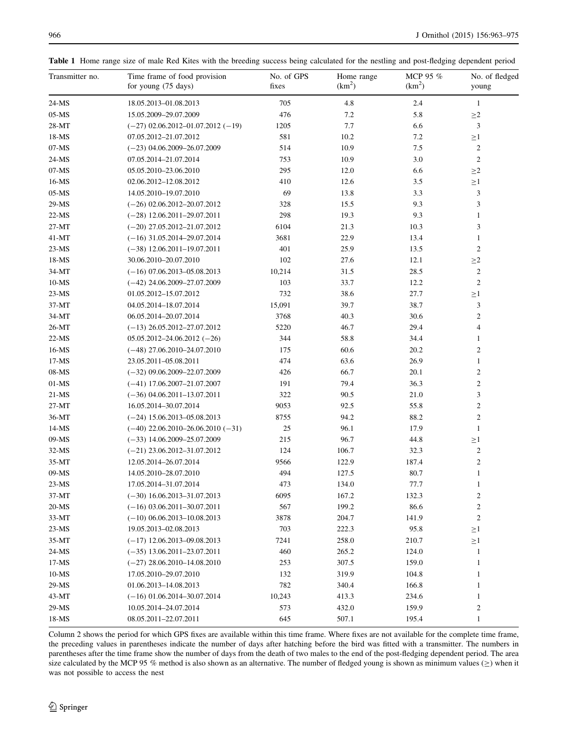| Transmitter no. | Time frame of food provision<br>for young $(75 \text{ days})$ | No. of GPS<br>fixes | Home range<br>(km <sup>2</sup> ) | MCP 95 %<br>(km <sup>2</sup> ) | No. of fledged<br>young |
|-----------------|---------------------------------------------------------------|---------------------|----------------------------------|--------------------------------|-------------------------|
| $24-MS$         | 18.05.2013-01.08.2013                                         | 705                 | 4.8                              | 2.4                            |                         |
| $05-MS$         | 15.05.2009-29.07.2009                                         | 476                 | 7.2                              | 5.8                            | $\geq$ 2                |
| 28-MT           | $(-27)$ 02.06.2012-01.07.2012 $(-19)$                         | 1205                | 7.7                              | 6.6                            | 3                       |
| $18-MS$         | 07.05.2012-21.07.2012                                         | 581                 | 10.2                             | 7.2                            | $\geq$ 1                |
| $07-MS$         | $(-23)$ 04.06.2009-26.07.2009                                 | 514                 | 10.9                             | 7.5                            | $\overline{c}$          |
| $24-MS$         | 07.05.2014-21.07.2014                                         | 753                 | 10.9                             | 3.0                            | $\mathfrak{2}$          |
| $07-MS$         | 05.05.2010-23.06.2010                                         | 295                 | 12.0                             | 6.6                            | $\geq$ 2                |
| $16-MS$         | 02.06.2012-12.08.2012                                         | 410                 | 12.6                             | 3.5                            | $\geq$ 1                |
| $05-MS$         | 14.05.2010-19.07.2010                                         | 69                  | 13.8                             | 3.3                            | 3                       |
| $29-MS$         | $(-26)$ 02.06.2012-20.07.2012                                 | 328                 | 15.5                             | 9.3                            | 3                       |
| $22-MS$         | $(-28)$ 12.06.2011-29.07.2011                                 | 298                 | 19.3                             | 9.3                            |                         |
| $27-MT$         | $(-20)$ 27.05.2012-21.07.2012                                 | 6104                | 21.3                             | 10.3                           | 3                       |
| $41-MT$         | $(-16)$ 31.05.2014-29.07.2014                                 | 3681                | 22.9                             | 13.4                           | 1                       |
| $23-MS$         | $(-38)$ 12.06.2011-19.07.2011                                 | 401                 | 25.9                             | 13.5                           | $\mathfrak{2}$          |
| 18-MS           | 30.06.2010-20.07.2010                                         | 102                 | 27.6                             | 12.1                           | $\geq$ 2                |
| 34-MT           | $(-16)$ 07.06.2013-05.08.2013                                 | 10,214              | 31.5                             | 28.5                           | $\overline{2}$          |
| $10-MS$         | $(-42)$ 24.06.2009-27.07.2009                                 | 103                 | 33.7                             | 12.2                           | $\overline{c}$          |
| $23-MS$         | 01.05.2012-15.07.2012                                         | 732                 | 38.6                             | 27.7                           | $\geq$ 1                |
| $37-MT$         | 04.05.2014-18.07.2014                                         | 15,091              | 39.7                             | 38.7                           | 3                       |
| $34-MT$         | 06.05.2014-20.07.2014                                         | 3768                | 40.3                             | 30.6                           | $\mathfrak{2}$          |
| $26-MT$         | $(-13)$ 26.05.2012-27.07.2012                                 | 5220                | 46.7                             | 29.4                           | 4                       |
| $22-MS$         | $05.05.2012 - 24.06.2012$ (-26)                               | 344                 | 58.8                             | 34.4                           |                         |

16-MS (-48) 27.06.2010–24.07.2010 175 60.6 20.2 2 17-MS 23.05.2011–05.08.2011 474 63.6 26.9 1 08-MS  $(-32)$  09.06.2009-22.07.2009 426 66.7 20.1 2 01-MS (-41) 17.06.2007–21.07.2007 191 79.4 36.3 2 21-MS (-36) 04.06.2011–13.07.2011 322 90.5 21.0 3 27-MT 16.05.2014–30.07.2014 9053 92.5 55.8 2 36-MT (-24) 15.06.2013–05.08.2013 8755 94.2 88.2 2 14-MS  $(-40)$  22.06.2010–26.06.2010 (-31) 25 96.1 17.9 1 09-MS  $(-33)$  14.06.2009-25.07.2009 215 96.7 44.8  $\geq 1$ 32-MS (-21) 23.06.2012–31.07.2012 124 106.7 32.3 2 35-MT 12.05.2014–26.07.2014 9566 122.9 187.4 2 09-MS 14.05.2010-28.07.2010 494 127.5 80.7 1 23-MS 17.05.2014–31.07.2014 473 134.0 77.7 1 37-MT  $(-30)$  16.06.2013-31.07.2013 6095 167.2 132.3 2 20-MS  $(-16)$  03.06.2011–30.07.2011 567 199.2 86.6 2 33-MT (-10) 06.06.2013–10.08.2013 3878 204.7 141.9 2 23-MS 19.05.2013-02.08.2013 703 222.3 95.8 21 35-MT  $(-17)$  12.06.2013–09.08.2013 7241 258.0 210.7  $\geq 1$ 24-MS  $(-35)$  13.06.2011–23.07.2011 460 265.2 124.0 1 17-MS  $(-27)$  28.06.2010-14.08.2010 253 307.5 159.0 1 10-MS 17.05.2010–29.07.2010 132 319.9 104.8 1 29-MS 01.06.2013-14.08.2013 782 340.4 166.8 1 43-MT  $(-16)$  01.06.2014–30.07.2014 10,243 413.3 234.6 1 29-MS 10.05.2014-24.07.2014 573 432.0 159.9 2 18-MS 08.05.2011–22.07.2011 645 507.1 195.4 1

<span id="page-3-0"></span>Table 1 Home range size of male Red Kites with the breeding success being calculated for the nestling and post-fledging dependent period

Column 2 shows the period for which GPS fixes are available within this time frame. Where fixes are not available for the complete time frame, the preceding values in parentheses indicate the number of days after hatching before the bird was fitted with a transmitter. The numbers in parentheses after the time frame show the number of days from the death of two males to the end of the post-fledging dependent period. The area size calculated by the MCP 95 % method is also shown as an alternative. The number of fledged young is shown as minimum values ( $\geq$ ) when it was not possible to access the nest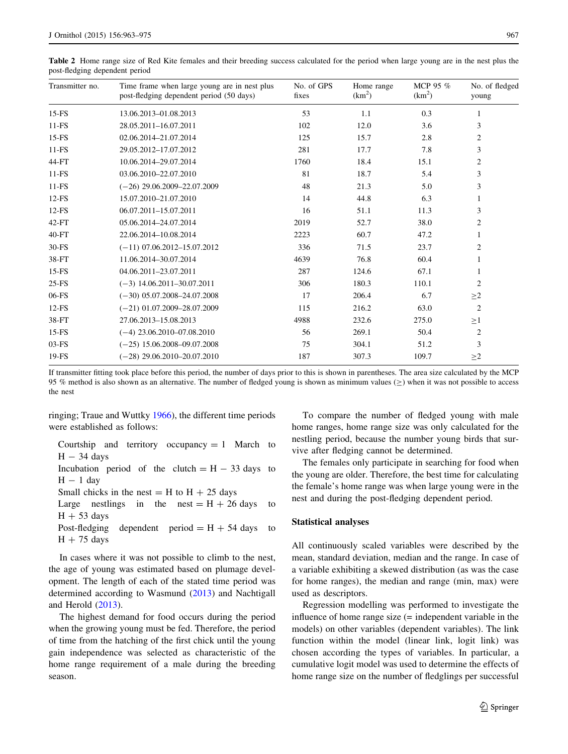<span id="page-4-0"></span>Table 2 Home range size of Red Kite females and their breeding success calculated for the period when large young are in the nest plus the post-fledging dependent period

| Transmitter no. | Time frame when large young are in nest plus<br>post-fledging dependent period (50 days) | No. of GPS<br>fixes | Home range<br>(km <sup>2</sup> ) | MCP 95 %<br>(km <sup>2</sup> ) | No. of fledged<br>young |  |
|-----------------|------------------------------------------------------------------------------------------|---------------------|----------------------------------|--------------------------------|-------------------------|--|
| $15-FS$         | 13.06.2013-01.08.2013                                                                    | 53                  | 1.1                              | 0.3                            | 1                       |  |
| $11-FS$         | 28.05.2011-16.07.2011                                                                    | 102                 | 12.0                             | 3.6                            | 3                       |  |
| $15-FS$         | 02.06.2014-21.07.2014                                                                    | 125                 | 15.7                             | 2.8                            | $\overline{c}$          |  |
| $11-FS$         | 29.05.2012-17.07.2012                                                                    | 281                 | 17.7                             | 7.8                            | 3                       |  |
| 44-FT           | 10.06.2014-29.07.2014                                                                    | 1760                | 18.4                             | 15.1                           | 2                       |  |
| $11-FS$         | 03.06.2010-22.07.2010                                                                    | 81                  | 18.7                             | 5.4                            | 3                       |  |
| $11-FS$         | $(-26)$ 29.06.2009-22.07.2009                                                            | 48                  | 21.3                             | 5.0                            | 3                       |  |
| $12-FS$         | 15.07.2010-21.07.2010                                                                    | 14                  | 44.8                             | 6.3                            | 1                       |  |
| $12-FS$         | 06.07.2011-15.07.2011                                                                    | 16                  | 51.1                             | 11.3                           | 3                       |  |
| 42-FT           | 05.06.2014-24.07.2014                                                                    | 2019                | 52.7                             | 38.0                           | 2                       |  |
| $40-FT$         | 22.06.2014-10.08.2014                                                                    | 2223                | 60.7                             | 47.2                           |                         |  |
| 30-FS           | $(-11)$ 07.06.2012-15.07.2012                                                            | 336                 | 71.5                             | 23.7                           | $\overline{c}$          |  |
| 38-FT           | 11.06.2014-30.07.2014                                                                    | 4639                | 76.8                             | 60.4                           | 1                       |  |
| $15-FS$         | 04.06.2011-23.07.2011                                                                    | 287                 | 124.6                            | 67.1                           | 1                       |  |
| $25-FS$         | $(-3)$ 14.06.2011-30.07.2011                                                             | 306                 | 180.3                            | 110.1                          | 2                       |  |
| $06$ -FS        | $(-30)$ 05.07.2008-24.07.2008                                                            | 17                  | 206.4                            | 6.7                            | $\geq$ 2                |  |
| $12-FS$         | $(-21)$ 01.07.2009-28.07.2009                                                            | 115                 | 216.2                            | 63.0                           | $\overline{2}$          |  |
| 38-FT           | 27.06.2013-15.08.2013                                                                    | 4988                | 232.6                            | 275.0                          | $\geq$ 1                |  |
| $15-FS$         | $(-4)$ 23.06.2010-07.08.2010                                                             | 56                  | 269.1                            | 50.4                           | 2                       |  |
| $03-FS$         | $(-25)$ 15.06.2008-09.07.2008                                                            | 75                  | 304.1                            | 51.2                           | 3                       |  |
| 19-FS           | $(-28)$ 29.06.2010-20.07.2010                                                            | 187                 | 307.3                            | 109.7                          | $\geq$ 2                |  |

If transmitter fitting took place before this period, the number of days prior to this is shown in parentheses. The area size calculated by the MCP 95 % method is also shown as an alternative. The number of fledged young is shown as minimum values ( $>$ ) when it was not possible to access the nest

ringing; Traue and Wuttky [1966\)](#page-12-0), the different time periods were established as follows:

Courtship and territory occupancy  $= 1$  March to  $H - 34$  days Incubation period of the clutch  $= H - 33$  days to  $H - 1$  day Small chicks in the nest = H to  $H + 25$  days Large nestlings in the nest  $= H + 26$  days to  $H + 53$  days Post-fledging dependent period  $=$  H  $+$  54 days to  $H + 75$  days

In cases where it was not possible to climb to the nest, the age of young was estimated based on plumage development. The length of each of the stated time period was determined according to Wasmund [\(2013](#page-12-0)) and Nachtigall and Herold [\(2013](#page-11-0)).

The highest demand for food occurs during the period when the growing young must be fed. Therefore, the period of time from the hatching of the first chick until the young gain independence was selected as characteristic of the home range requirement of a male during the breeding season.

To compare the number of fledged young with male home ranges, home range size was only calculated for the nestling period, because the number young birds that survive after fledging cannot be determined.

The females only participate in searching for food when the young are older. Therefore, the best time for calculating the female's home range was when large young were in the nest and during the post-fledging dependent period.

#### Statistical analyses

All continuously scaled variables were described by the mean, standard deviation, median and the range. In case of a variable exhibiting a skewed distribution (as was the case for home ranges), the median and range (min, max) were used as descriptors.

Regression modelling was performed to investigate the influence of home range size (= independent variable in the models) on other variables (dependent variables). The link function within the model (linear link, logit link) was chosen according the types of variables. In particular, a cumulative logit model was used to determine the effects of home range size on the number of fledglings per successful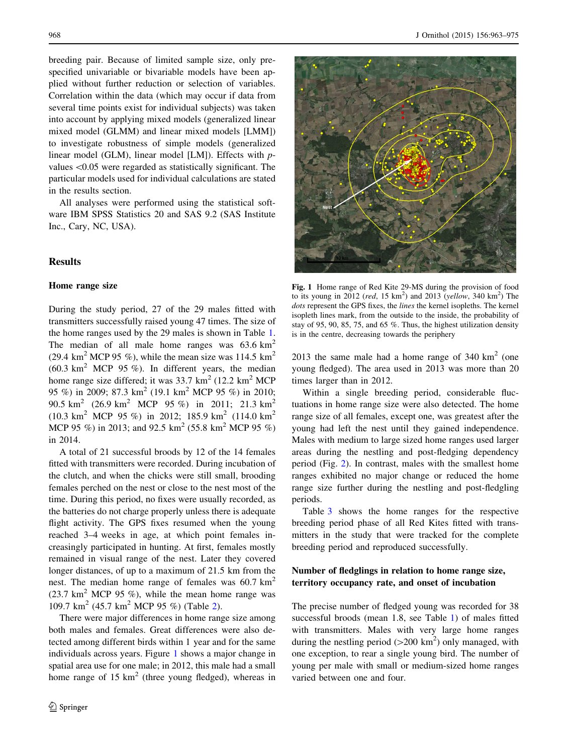breeding pair. Because of limited sample size, only prespecified univariable or bivariable models have been applied without further reduction or selection of variables. Correlation within the data (which may occur if data from several time points exist for individual subjects) was taken into account by applying mixed models (generalized linear mixed model (GLMM) and linear mixed models [LMM]) to investigate robustness of simple models (generalized linear model (GLM), linear model [LM]). Effects with pvalues  $< 0.05$  were regarded as statistically significant. The particular models used for individual calculations are stated in the results section.

All analyses were performed using the statistical software IBM SPSS Statistics 20 and SAS 9.2 (SAS Institute Inc., Cary, NC, USA).

### Results

#### Home range size

During the study period, 27 of the 29 males fitted with transmitters successfully raised young 47 times. The size of the home ranges used by the 29 males is shown in Table [1.](#page-3-0) The median of all male home ranges was  $63.6 \text{ km}^2$ (29.4 km<sup>2</sup> MCP 95 %), while the mean size was 114.5 km<sup>2</sup>  $(60.3 \text{ km}^2 \text{ MCP } 95 \%)$ . In different years, the median home range size differed; it was  $33.7 \text{ km}^2$  (12.2 km<sup>2</sup> MCP) 95 %) in 2009; 87.3 km2 (19.1 km<sup>2</sup> MCP 95 %) in 2010; 90.5 km<sup>2</sup> (26.9 km<sup>2</sup> MCP 95 %) in 2011; 21.3 km<sup>2</sup> (10.3 km2 MCP 95 %) in 2012; 185.9 km2 (114.0 km<sup>2</sup> MCP 95 %) in 2013; and 92.5 km<sup>2</sup> (55.8 km<sup>2</sup> MCP 95 %) in 2014.

A total of 21 successful broods by 12 of the 14 females fitted with transmitters were recorded. During incubation of the clutch, and when the chicks were still small, brooding females perched on the nest or close to the nest most of the time. During this period, no fixes were usually recorded, as the batteries do not charge properly unless there is adequate flight activity. The GPS fixes resumed when the young reached 3–4 weeks in age, at which point females increasingly participated in hunting. At first, females mostly remained in visual range of the nest. Later they covered longer distances, of up to a maximum of 21.5 km from the nest. The median home range of females was  $60.7 \text{ km}^2$  $(23.7 \text{ km}^2 \text{ MCP } 95 \%)$ , while the mean home range was 109.7 km<sup>2</sup> (45.7 km<sup>2</sup> MCP 95 %) (Table [2\)](#page-4-0).

There were major differences in home range size among both males and females. Great differences were also detected among different birds within 1 year and for the same individuals across years. Figure 1 shows a major change in spatial area use for one male; in 2012, this male had a small home range of 15  $km^2$  (three young fledged), whereas in



Fig. 1 Home range of Red Kite 29-MS during the provision of food to its young in 2012 (red, 15  $km^2$ ) and 2013 (yellow, 340  $km^2$ ) The dots represent the GPS fixes, the lines the kernel isopleths. The kernel isopleth lines mark, from the outside to the inside, the probability of stay of 95, 90, 85, 75, and 65 %. Thus, the highest utilization density is in the centre, decreasing towards the periphery

2013 the same male had a home range of  $340 \text{ km}^2$  (one) young fledged). The area used in 2013 was more than 20 times larger than in 2012.

Within a single breeding period, considerable fluctuations in home range size were also detected. The home range size of all females, except one, was greatest after the young had left the nest until they gained independence. Males with medium to large sized home ranges used larger areas during the nestling and post-fledging dependency period (Fig. [2\)](#page-6-0). In contrast, males with the smallest home ranges exhibited no major change or reduced the home range size further during the nestling and post-fledgling periods.

Table [3](#page-7-0) shows the home ranges for the respective breeding period phase of all Red Kites fitted with transmitters in the study that were tracked for the complete breeding period and reproduced successfully.

# Number of fledglings in relation to home range size, territory occupancy rate, and onset of incubation

The precise number of fledged young was recorded for 38 successful broods (mean 1.8, see Table [1](#page-3-0)) of males fitted with transmitters. Males with very large home ranges during the nestling period  $(>200 \text{ km}^2)$  only managed, with one exception, to rear a single young bird. The number of young per male with small or medium-sized home ranges varied between one and four.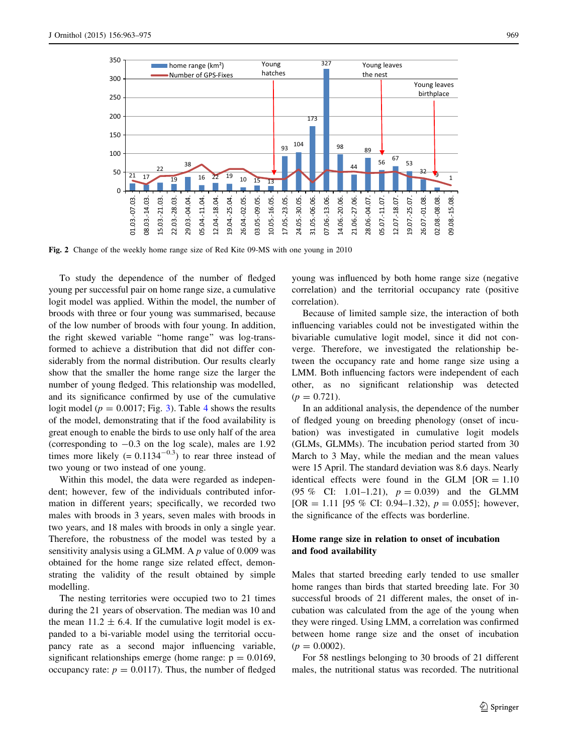<span id="page-6-0"></span>

Fig. 2 Change of the weekly home range size of Red Kite 09-MS with one young in 2010

To study the dependence of the number of fledged young per successful pair on home range size, a cumulative logit model was applied. Within the model, the number of broods with three or four young was summarised, because of the low number of broods with four young. In addition, the right skewed variable ''home range'' was log-transformed to achieve a distribution that did not differ considerably from the normal distribution. Our results clearly show that the smaller the home range size the larger the number of young fledged. This relationship was modelled, and its significance confirmed by use of the cumulative logit model ( $p = 0.0017$ ; Fig. [3\)](#page-8-0). Table [4](#page-8-0) shows the results of the model, demonstrating that if the food availability is great enough to enable the birds to use only half of the area (corresponding to  $-0.3$  on the log scale), males are 1.92 times more likely  $(= 0.1134^{-0.3})$  to rear three instead of two young or two instead of one young.

Within this model, the data were regarded as independent; however, few of the individuals contributed information in different years; specifically, we recorded two males with broods in 3 years, seven males with broods in two years, and 18 males with broods in only a single year. Therefore, the robustness of the model was tested by a sensitivity analysis using a GLMM. A  $p$  value of 0.009 was obtained for the home range size related effect, demonstrating the validity of the result obtained by simple modelling.

The nesting territories were occupied two to 21 times during the 21 years of observation. The median was 10 and the mean  $11.2 \pm 6.4$ . If the cumulative logit model is expanded to a bi-variable model using the territorial occupancy rate as a second major influencing variable, significant relationships emerge (home range:  $p = 0.0169$ , occupancy rate:  $p = 0.0117$ . Thus, the number of fledged young was influenced by both home range size (negative correlation) and the territorial occupancy rate (positive correlation).

Because of limited sample size, the interaction of both influencing variables could not be investigated within the bivariable cumulative logit model, since it did not converge. Therefore, we investigated the relationship between the occupancy rate and home range size using a LMM. Both influencing factors were independent of each other, as no significant relationship was detected  $(p = 0.721)$ .

In an additional analysis, the dependence of the number of fledged young on breeding phenology (onset of incubation) was investigated in cumulative logit models (GLMs, GLMMs). The incubation period started from 30 March to 3 May, while the median and the mean values were 15 April. The standard deviation was 8.6 days. Nearly identical effects were found in the GLM  $[OR = 1.10]$ (95 % CI: 1.01–1.21),  $p = 0.039$  and the GLMM [OR = 1.11 [95 % CI: 0.94–1.32),  $p = 0.055$ ]; however, the significance of the effects was borderline.

# Home range size in relation to onset of incubation and food availability

Males that started breeding early tended to use smaller home ranges than birds that started breeding late. For 30 successful broods of 21 different males, the onset of incubation was calculated from the age of the young when they were ringed. Using LMM, a correlation was confirmed between home range size and the onset of incubation  $(p = 0.0002)$ .

For 58 nestlings belonging to 30 broods of 21 different males, the nutritional status was recorded. The nutritional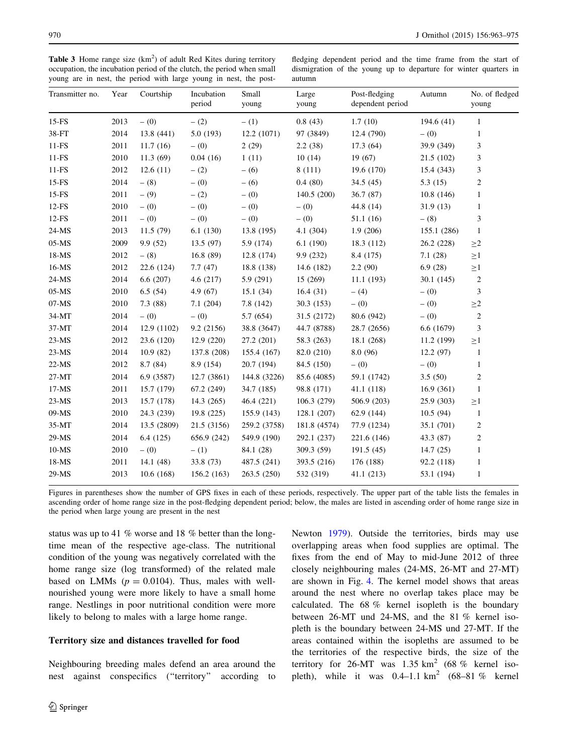<span id="page-7-0"></span>Table 3 Home range size  $(km^2)$  of adult Red Kites during territory occupation, the incubation period of the clutch, the period when small young are in nest, the period with large young in nest, the post-

fledging dependent period and the time frame from the start of dismigration of the young up to departure for winter quarters in autumn

| Transmitter no. | Year | Courtship   | Incubation<br>period | Small<br>young | Large<br>young | Post-fledging<br>dependent period | Autumn      | No. of fledged<br>young |
|-----------------|------|-------------|----------------------|----------------|----------------|-----------------------------------|-------------|-------------------------|
| $15-FS$         | 2013 | $-$ (0)     | $- (2)$              | $- (1)$        | 0.8(43)        | 1.7(10)                           | 194.6(41)   | $\mathbf{1}$            |
| 38-FT           | 2014 | 13.8(441)   | 5.0(193)             | 12.2(1071)     | 97 (3849)      | 12.4 (790)                        | $-$ (0)     | $\mathbf{1}$            |
| 11-FS           | 2011 | 11.7(16)    | $-$ (0)              | 2(29)          | 2.2(38)        | 17.3(64)                          | 39.9 (349)  | 3                       |
| 11-FS           | 2010 | 11.3(69)    | 0.04(16)             | 1(11)          | 10(14)         | 19(67)                            | 21.5(102)   | 3                       |
| 11-FS           | 2012 | 12.6(11)    | $- (2)$              | $- (6)$        | 8(111)         | 19.6 (170)                        | 15.4 (343)  | 3                       |
| 15-FS           | 2014 | $-$ (8)     | $-$ (0)              | $- (6)$        | 0.4(80)        | 34.5(45)                          | 5.3(15)     | $\overline{c}$          |
| 15-FS           | 2011 | $- (9)$     | $- (2)$              | $-$ (0)        | 140.5(200)     | 36.7 (87)                         | 10.8(146)   | $\mathbf{1}$            |
| $12-FS$         | 2010 | $-$ (0)     | $-$ (0)              | $-$ (0)        | $-$ (0)        | 44.8 $(14)$                       | 31.9(13)    | $\mathbf{1}$            |
| $12-FS$         | 2011 | $-$ (0)     | $-$ (0)              | $-$ (0)        | $-$ (0)        | 51.1(16)                          | $-$ (8)     | 3                       |
| $24-MS$         | 2013 | 11.5(79)    | 6.1(130)             | 13.8 (195)     | 4.1(304)       | 1.9(206)                          | 155.1 (286) | $\mathbf{1}$            |
| 05-MS           | 2009 | 9.9(52)     | 13.5(97)             | 5.9 (174)      | 6.1(190)       | 18.3 (112)                        | 26.2(228)   | $\geq2$                 |
| $18-MS$         | 2012 | $-$ (8)     | 16.8(89)             | 12.8 (174)     | 9.9(232)       | 8.4 (175)                         | 7.1(28)     | $\geq\!1$               |
| 16-MS           | 2012 | 22.6 (124)  | 7.7(47)              | 18.8 (138)     | 14.6 (182)     | 2.2(90)                           | 6.9(28)     | $\geq\!1$               |
| 24-MS           | 2014 | 6.6(207)    | 4.6(217)             | 5.9(291)       | 15 (269)       | 11.1(193)                         | 30.1(145)   | $\overline{c}$          |
| 05-MS           | 2010 | 6.5(54)     | 4.9(67)              | 15.1(34)       | 16.4(31)       | $- (4)$                           | $-$ (0)     | 3                       |
| $07-MS$         | 2010 | 7.3(88)     | 7.1(204)             | 7.8(142)       | 30.3(153)      | $-$ (0)                           | $-$ (0)     | $\geq$ 2                |
| 34-MT           | 2014 | $-$ (0)     | $-$ (0)              | 5.7(654)       | 31.5 (2172)    | 80.6 (942)                        | $-$ (0)     | $\overline{c}$          |
| 37-MT           | 2014 | 12.9 (1102) | 9.2(2156)            | 38.8 (3647)    | 44.7 (8788)    | 28.7 (2656)                       | 6.6(1679)   | 3                       |
| $23-MS$         | 2012 | 23.6 (120)  | 12.9(220)            | 27.2(201)      | 58.3 (263)     | 18.1(268)                         | 11.2(199)   | $\geq$ 1                |
| $23-MS$         | 2014 | 10.9(82)    | 137.8 (208)          | 155.4 (167)    | 82.0 (210)     | 8.0 (96)                          | 12.2(97)    | 1                       |
| $22-MS$         | 2012 | 8.7(84)     | 8.9 (154)            | 20.7 (194)     | 84.5 (150)     | $-$ (0)                           | $-$ (0)     | $\mathbf{1}$            |
| $27-MT$         | 2014 | 6.9(3587)   | 12.7(3861)           | 144.8 (3226)   | 85.6 (4085)    | 59.1 (1742)                       | 3.5(50)     | $\overline{c}$          |
| $17-MS$         | 2011 | 15.7 (179)  | 67.2(249)            | 34.7 (185)     | 98.8 (171)     | 41.1(118)                         | 16.9(361)   | $\mathbf{1}$            |
| $23-MS$         | 2013 | 15.7 (178)  | 14.3(265)            | 46.4(221)      | 106.3(279)     | 506.9 (203)                       | 25.9(303)   | $\geq$ 1                |
| 09-MS           | 2010 | 24.3 (239)  | 19.8(225)            | 155.9(143)     | 128.1(207)     | 62.9 (144)                        | 10.5(94)    | $\mathbf{1}$            |
| $35-MT$         | 2014 | 13.5 (2809) | 21.5 (3156)          | 259.2 (3758)   | 181.8 (4574)   | 77.9 (1234)                       | 35.1 (701)  | 2                       |
| $29-MS$         | 2014 | 6.4(125)    | 656.9 (242)          | 549.9 (190)    | 292.1 (237)    | 221.6 (146)                       | 43.3 (87)   | $\overline{c}$          |
| $10-MS$         | 2010 | $-$ (0)     | $- (1)$              | 84.1 (28)      | 309.3(59)      | 191.5 (45)                        | 14.7(25)    | $\mathbf{1}$            |
| 18-MS           | 2011 | 14.1 (48)   | 33.8 (73)            | 487.5 (241)    | 393.5 (216)    | 176 (188)                         | 92.2 (118)  | $\mathbf{1}$            |
| $29-MS$         | 2013 | 10.6(168)   | 156.2(163)           | 263.5(250)     | 532 (319)      | 41.1(213)                         | 53.1 (194)  | $\mathbf{1}$            |

Figures in parentheses show the number of GPS fixes in each of these periods, respectively. The upper part of the table lists the females in ascending order of home range size in the post-fledging dependent period; below, the males are listed in ascending order of home range size in the period when large young are present in the nest

status was up to 41 % worse and 18 % better than the longtime mean of the respective age-class. The nutritional condition of the young was negatively correlated with the home range size (log transformed) of the related male based on LMMs ( $p = 0.0104$ ). Thus, males with wellnourished young were more likely to have a small home range. Nestlings in poor nutritional condition were more likely to belong to males with a large home range.

#### Territory size and distances travelled for food

Neighbouring breeding males defend an area around the nest against conspecifics (''territory'' according to

Newton [1979](#page-11-0)). Outside the territories, birds may use overlapping areas when food supplies are optimal. The fixes from the end of May to mid-June 2012 of three closely neighbouring males (24-MS, 26-MT and 27-MT) are shown in Fig. [4](#page-8-0). The kernel model shows that areas around the nest where no overlap takes place may be calculated. The 68 % kernel isopleth is the boundary between 26-MT und 24-MS, and the 81 % kernel isopleth is the boundary between 24-MS und 27-MT. If the areas contained within the isopleths are assumed to be the territories of the respective birds, the size of the territory for 26-MT was  $1.35 \text{ km}^2$  (68 % kernel isopleth), while it was  $0.4-1.1 \text{ km}^2$  (68-81 % kernel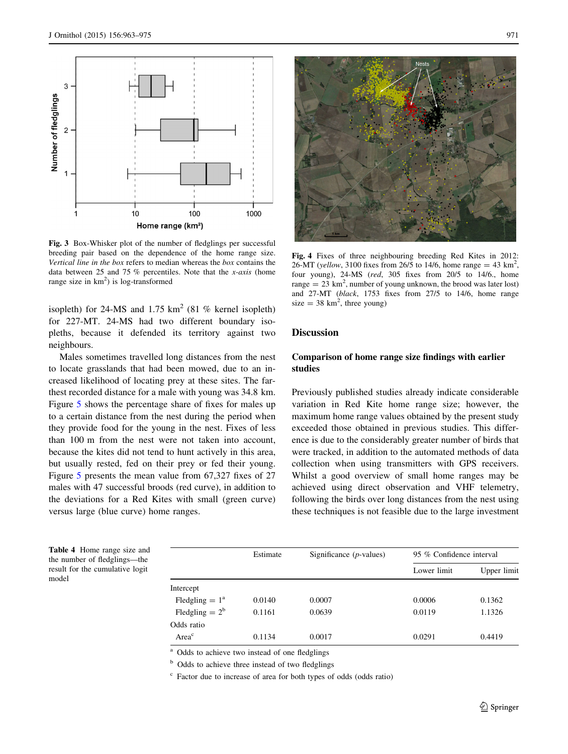<span id="page-8-0"></span>

Fig. 3 Box-Whisker plot of the number of fledglings per successful breeding pair based on the dependence of the home range size. Vertical line in the box refers to median whereas the box contains the data between 25 and 75  $%$  percentiles. Note that the x-axis (home range size in  $km^2$ ) is log-transformed

isopleth) for 24-MS and 1.75  $km^2$  (81 % kernel isopleth) for 227-MT. 24-MS had two different boundary isopleths, because it defended its territory against two neighbours.

Males sometimes travelled long distances from the nest to locate grasslands that had been mowed, due to an increased likelihood of locating prey at these sites. The farthest recorded distance for a male with young was 34.8 km. Figure [5](#page-9-0) shows the percentage share of fixes for males up to a certain distance from the nest during the period when they provide food for the young in the nest. Fixes of less than 100 m from the nest were not taken into account, because the kites did not tend to hunt actively in this area, but usually rested, fed on their prey or fed their young. Figure [5](#page-9-0) presents the mean value from 67,327 fixes of 27 males with 47 successful broods (red curve), in addition to the deviations for a Red Kites with small (green curve) versus large (blue curve) home ranges.

Fig. 4 Fixes of three neighbouring breeding Red Kites in 2012: 26-MT (yellow, 3100 fixes from 26/5 to 14/6, home range = 43 km<sup>2</sup>, four young), 24-MS (red, 305 fixes from 20/5 to 14/6., home range  $= 23$  km<sup>2</sup>, number of young unknown, the brood was later lost) and 27-MT (black, 1753 fixes from 27/5 to 14/6, home range  $size = 38$  km<sup>2</sup>, three young)

# Discussion

# Comparison of home range size findings with earlier studies

Previously published studies already indicate considerable variation in Red Kite home range size; however, the maximum home range values obtained by the present study exceeded those obtained in previous studies. This difference is due to the considerably greater number of birds that were tracked, in addition to the automated methods of data collection when using transmitters with GPS receivers. Whilst a good overview of small home ranges may be achieved using direct observation and VHF telemetry, following the birds over long distances from the nest using these techniques is not feasible due to the large investment

Table 4 Home range size and the number of fledglings—the result for the cumulative logit model

|                   | Estimate | Significance $(p$ -values) | 95 % Confidence interval |             |  |
|-------------------|----------|----------------------------|--------------------------|-------------|--|
|                   |          |                            | Lower limit              | Upper limit |  |
| Intercept         |          |                            |                          |             |  |
| Fledgling $= 1^a$ | 0.0140   | 0.0007                     | 0.0006                   | 0.1362      |  |
| Fledgling $= 2^b$ | 0.1161   | 0.0639                     | 0.0119                   | 1.1326      |  |
| Odds ratio        |          |                            |                          |             |  |
| Area <sup>c</sup> | 0.1134   | 0.0017                     | 0.0291                   | 0.4419      |  |

<sup>a</sup> Odds to achieve two instead of one fledglings

<sup>b</sup> Odds to achieve three instead of two fledglings

<sup>c</sup> Factor due to increase of area for both types of odds (odds ratio)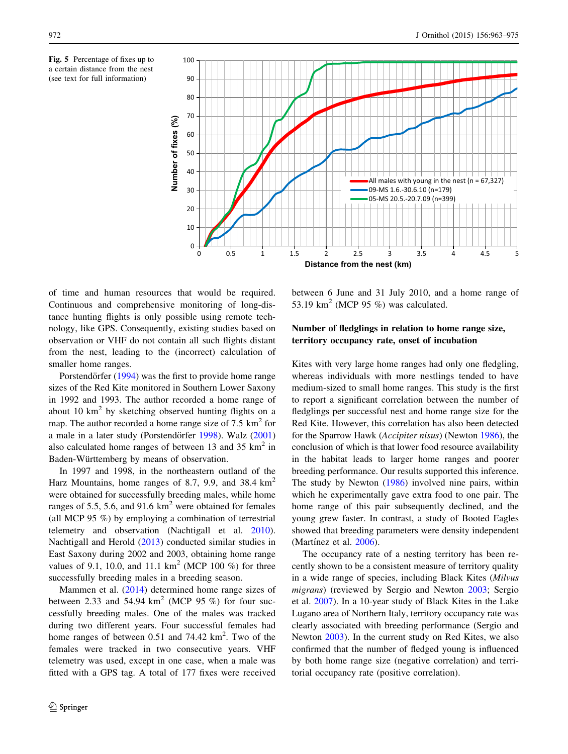<span id="page-9-0"></span>



of time and human resources that would be required. Continuous and comprehensive monitoring of long-distance hunting flights is only possible using remote technology, like GPS. Consequently, existing studies based on observation or VHF do not contain all such flights distant from the nest, leading to the (incorrect) calculation of smaller home ranges.

Porstendörfer ([1994](#page-12-0)) was the first to provide home range sizes of the Red Kite monitored in Southern Lower Saxony in 1992 and 1993. The author recorded a home range of about 10  $km<sup>2</sup>$  by sketching observed hunting flights on a map. The author recorded a home range size of  $7.5 \text{ km}^2$  for a male in a later study (Porstendörfer [1998\)](#page-12-0). Walz ([2001\)](#page-12-0) also calculated home ranges of between 13 and 35  $\text{km}^2$  in Baden-Württemberg by means of observation.

In 1997 and 1998, in the northeastern outland of the Harz Mountains, home ranges of 8.7, 9.9, and 38.4 km<sup>2</sup> were obtained for successfully breeding males, while home ranges of 5.5, 5.6, and 91.6  $km<sup>2</sup>$  were obtained for females (all MCP 95 %) by employing a combination of terrestrial telemetry and observation (Nachtigall et al. [2010](#page-11-0)). Nachtigall and Herold [\(2013](#page-11-0)) conducted similar studies in East Saxony during 2002 and 2003, obtaining home range values of 9.1, 10.0, and 11.1 km<sup>2</sup> (MCP 100 %) for three successfully breeding males in a breeding season.

Mammen et al. [\(2014](#page-11-0)) determined home range sizes of between 2.33 and 54.94  $km^2$  (MCP 95 %) for four successfully breeding males. One of the males was tracked during two different years. Four successful females had home ranges of between  $0.51$  and  $74.42 \text{ km}^2$ . Two of the females were tracked in two consecutive years. VHF telemetry was used, except in one case, when a male was fitted with a GPS tag. A total of 177 fixes were received between 6 June and 31 July 2010, and a home range of 53.19 km<sup>2</sup> (MCP 95 %) was calculated.

# Number of fledglings in relation to home range size, territory occupancy rate, onset of incubation

Kites with very large home ranges had only one fledgling, whereas individuals with more nestlings tended to have medium-sized to small home ranges. This study is the first to report a significant correlation between the number of fledglings per successful nest and home range size for the Red Kite. However, this correlation has also been detected for the Sparrow Hawk (Accipiter nisus) (Newton [1986\)](#page-11-0), the conclusion of which is that lower food resource availability in the habitat leads to larger home ranges and poorer breeding performance. Our results supported this inference. The study by Newton ([1986\)](#page-11-0) involved nine pairs, within which he experimentally gave extra food to one pair. The home range of this pair subsequently declined, and the young grew faster. In contrast, a study of Booted Eagles showed that breeding parameters were density independent (Martínez et al.  $2006$ ).

The occupancy rate of a nesting territory has been recently shown to be a consistent measure of territory quality in a wide range of species, including Black Kites (Milvus migrans) (reviewed by Sergio and Newton [2003;](#page-12-0) Sergio et al. [2007](#page-12-0)). In a 10-year study of Black Kites in the Lake Lugano area of Northern Italy, territory occupancy rate was clearly associated with breeding performance (Sergio and Newton [2003\)](#page-12-0). In the current study on Red Kites, we also confirmed that the number of fledged young is influenced by both home range size (negative correlation) and territorial occupancy rate (positive correlation).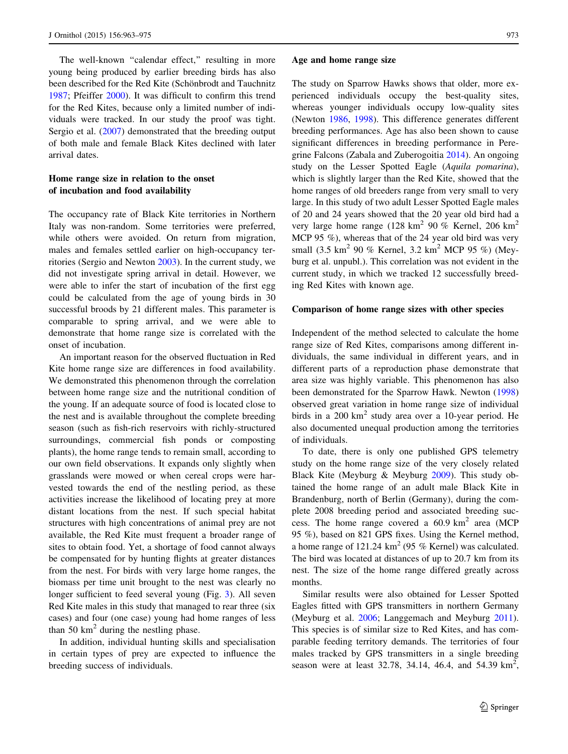The well-known "calendar effect," resulting in more young being produced by earlier breeding birds has also been described for the Red Kite (Schönbrodt and Tauchnitz [1987;](#page-12-0) Pfeiffer [2000](#page-12-0)). It was difficult to confirm this trend for the Red Kites, because only a limited number of individuals were tracked. In our study the proof was tight. Sergio et al. [\(2007](#page-12-0)) demonstrated that the breeding output of both male and female Black Kites declined with later arrival dates.

# Home range size in relation to the onset of incubation and food availability

The occupancy rate of Black Kite territories in Northern Italy was non-random. Some territories were preferred, while others were avoided. On return from migration, males and females settled earlier on high-occupancy territories (Sergio and Newton [2003](#page-12-0)). In the current study, we did not investigate spring arrival in detail. However, we were able to infer the start of incubation of the first egg could be calculated from the age of young birds in 30 successful broods by 21 different males. This parameter is comparable to spring arrival, and we were able to demonstrate that home range size is correlated with the onset of incubation.

An important reason for the observed fluctuation in Red Kite home range size are differences in food availability. We demonstrated this phenomenon through the correlation between home range size and the nutritional condition of the young. If an adequate source of food is located close to the nest and is available throughout the complete breeding season (such as fish-rich reservoirs with richly-structured surroundings, commercial fish ponds or composting plants), the home range tends to remain small, according to our own field observations. It expands only slightly when grasslands were mowed or when cereal crops were harvested towards the end of the nestling period, as these activities increase the likelihood of locating prey at more distant locations from the nest. If such special habitat structures with high concentrations of animal prey are not available, the Red Kite must frequent a broader range of sites to obtain food. Yet, a shortage of food cannot always be compensated for by hunting flights at greater distances from the nest. For birds with very large home ranges, the biomass per time unit brought to the nest was clearly no longer sufficient to feed several young (Fig. [3\)](#page-8-0). All seven Red Kite males in this study that managed to rear three (six cases) and four (one case) young had home ranges of less than 50  $km^2$  during the nestling phase.

In addition, individual hunting skills and specialisation in certain types of prey are expected to influence the breeding success of individuals.

#### Age and home range size

The study on Sparrow Hawks shows that older, more experienced individuals occupy the best-quality sites, whereas younger individuals occupy low-quality sites (Newton [1986](#page-11-0), [1998\)](#page-11-0). This difference generates different breeding performances. Age has also been shown to cause significant differences in breeding performance in Peregrine Falcons (Zabala and Zuberogoitia [2014](#page-12-0)). An ongoing study on the Lesser Spotted Eagle (Aquila pomarina), which is slightly larger than the Red Kite, showed that the home ranges of old breeders range from very small to very large. In this study of two adult Lesser Spotted Eagle males of 20 and 24 years showed that the 20 year old bird had a very large home range (128 km<sup>2</sup> 90 % Kernel, 206 km<sup>2</sup> MCP 95 %), whereas that of the 24 year old bird was very small (3.5 km<sup>2</sup> 90 % Kernel, 3.2 km<sup>2</sup> MCP 95 %) (Meyburg et al. unpubl.). This correlation was not evident in the current study, in which we tracked 12 successfully breeding Red Kites with known age.

#### Comparison of home range sizes with other species

Independent of the method selected to calculate the home range size of Red Kites, comparisons among different individuals, the same individual in different years, and in different parts of a reproduction phase demonstrate that area size was highly variable. This phenomenon has also been demonstrated for the Sparrow Hawk. Newton ([1998\)](#page-11-0) observed great variation in home range size of individual birds in a 200 km<sup>2</sup> study area over a 10-year period. He also documented unequal production among the territories of individuals.

To date, there is only one published GPS telemetry study on the home range size of the very closely related Black Kite (Meyburg & Meyburg [2009\)](#page-11-0). This study obtained the home range of an adult male Black Kite in Brandenburg, north of Berlin (Germany), during the complete 2008 breeding period and associated breeding success. The home range covered a  $60.9 \text{ km}^2$  area (MCP) 95 %), based on 821 GPS fixes. Using the Kernel method, a home range of 121.24  $km^2$  (95 % Kernel) was calculated. The bird was located at distances of up to 20.7 km from its nest. The size of the home range differed greatly across months.

Similar results were also obtained for Lesser Spotted Eagles fitted with GPS transmitters in northern Germany (Meyburg et al. [2006;](#page-11-0) Langgemach and Meyburg [2011](#page-11-0)). This species is of similar size to Red Kites, and has comparable feeding territory demands. The territories of four males tracked by GPS transmitters in a single breeding season were at least 32.78, 34.14, 46.4, and 54.39  $\text{km}^2$ ,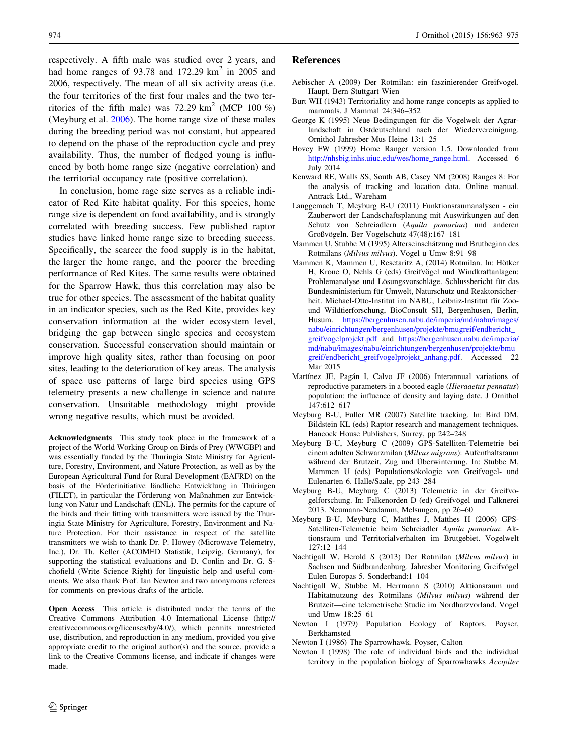<span id="page-11-0"></span>respectively. A fifth male was studied over 2 years, and had home ranges of 93.78 and 172.29  $km^2$  in 2005 and 2006, respectively. The mean of all six activity areas (i.e. the four territories of the first four males and the two territories of the fifth male) was  $72.29 \text{ km}^2$  (MCP 100 %) (Meyburg et al. 2006). The home range size of these males during the breeding period was not constant, but appeared to depend on the phase of the reproduction cycle and prey availability. Thus, the number of fledged young is influenced by both home range size (negative correlation) and the territorial occupancy rate (positive correlation).

In conclusion, home rage size serves as a reliable indicator of Red Kite habitat quality. For this species, home range size is dependent on food availability, and is strongly correlated with breeding success. Few published raptor studies have linked home range size to breeding success. Specifically, the scarcer the food supply is in the habitat, the larger the home range, and the poorer the breeding performance of Red Kites. The same results were obtained for the Sparrow Hawk, thus this correlation may also be true for other species. The assessment of the habitat quality in an indicator species, such as the Red Kite, provides key conservation information at the wider ecosystem level, bridging the gap between single species and ecosystem conservation. Successful conservation should maintain or improve high quality sites, rather than focusing on poor sites, leading to the deterioration of key areas. The analysis of space use patterns of large bird species using GPS telemetry presents a new challenge in science and nature conservation. Unsuitable methodology might provide wrong negative results, which must be avoided.

Acknowledgments This study took place in the framework of a project of the World Working Group on Birds of Prey (WWGBP) and was essentially funded by the Thuringia State Ministry for Agriculture, Forestry, Environment, and Nature Protection, as well as by the European Agricultural Fund for Rural Development (EAFRD) on the basis of the Förderinitiative ländliche Entwicklung in Thüringen (FILET), in particular the Förderung von Maßnahmen zur Entwicklung von Natur und Landschaft (ENL). The permits for the capture of the birds and their fitting with transmitters were issued by the Thuringia State Ministry for Agriculture, Forestry, Environment and Nature Protection. For their assistance in respect of the satellite transmitters we wish to thank Dr. P. Howey (Microwave Telemetry, Inc.), Dr. Th. Keller (ACOMED Statistik, Leipzig, Germany), for supporting the statistical evaluations and D. Conlin and Dr. G. Schofield (Write Science Right) for linguistic help and useful comments. We also thank Prof. Ian Newton and two anonymous referees for comments on previous drafts of the article.

Open Access This article is distributed under the terms of the Creative Commons Attribution 4.0 International License (http:// creativecommons.org/licenses/by/4.0/), which permits unrestricted use, distribution, and reproduction in any medium, provided you give appropriate credit to the original author(s) and the source, provide a link to the Creative Commons license, and indicate if changes were made.

### References

- Aebischer A (2009) Der Rotmilan: ein faszinierender Greifvogel. Haupt, Bern Stuttgart Wien
- Burt WH (1943) Territoriality and home range concepts as applied to mammals. J Mammal 24:346–352
- George K (1995) Neue Bedingungen für die Vogelwelt der Agrarlandschaft in Ostdeutschland nach der Wiedervereinigung. Ornithol Jahresber Mus Heine 13:1–25
- Hovey FW (1999) Home Ranger version 1.5. Downloaded from [http://nhsbig.inhs.uiuc.edu/wes/home\\_range.html](http://nhsbig.inhs.uiuc.edu/wes/home_range.html). Accessed 6 July 2014
- Kenward RE, Walls SS, South AB, Casey NM (2008) Ranges 8: For the analysis of tracking and location data. Online manual. Antrack Ltd., Wareham
- Langgemach T, Meyburg B-U (2011) Funktionsraumanalysen ein Zauberwort der Landschaftsplanung mit Auswirkungen auf den Schutz von Schreiadlern (Aquila pomarina) und anderen Großvögeln. Ber Vogelschutz 47(48):167-181
- Mammen U, Stubbe M (1995) Alterseinschätzung und Brutbeginn des Rotmilans (Milvus milvus). Vogel u Umw 8:91–98
- Mammen K, Mammen U, Resetaritz A, (2014) Rotmilan. In: Hötker H, Krone O, Nehls G (eds) Greifvögel und Windkraftanlagen: Problemanalyse und Lösungsvorschläge. Schlussbericht für das Bundesministerium für Umwelt, Naturschutz und Reaktorsicherheit. Michael-Otto-Institut im NABU, Leibniz-Institut für Zoound Wildtierforschung, BioConsult SH, Bergenhusen, Berlin, Husum. [https://bergenhusen.nabu.de/imperia/md/nabu/images/](https://bergenhusen.nabu.de/imperia/md/nabu/images/nabu/einrichtungen/bergenhusen/projekte/bmugreif/endbericht_greifvogelprojekt.pdf) [nabu/einrichtungen/bergenhusen/projekte/bmugreif/endbericht\\_](https://bergenhusen.nabu.de/imperia/md/nabu/images/nabu/einrichtungen/bergenhusen/projekte/bmugreif/endbericht_greifvogelprojekt.pdf) [greifvogelprojekt.pdf](https://bergenhusen.nabu.de/imperia/md/nabu/images/nabu/einrichtungen/bergenhusen/projekte/bmugreif/endbericht_greifvogelprojekt.pdf) and [https://bergenhusen.nabu.de/imperia/](https://bergenhusen.nabu.de/imperia/md/nabu/images/nabu/einrichtungen/bergenhusen/projekte/bmugreif/endbericht_greifvogelprojekt_anhang.pdf) [md/nabu/images/nabu/einrichtungen/bergenhusen/projekte/bmu](https://bergenhusen.nabu.de/imperia/md/nabu/images/nabu/einrichtungen/bergenhusen/projekte/bmugreif/endbericht_greifvogelprojekt_anhang.pdf) [greif/endbericht\\_greifvogelprojekt\\_anhang.pdf.](https://bergenhusen.nabu.de/imperia/md/nabu/images/nabu/einrichtungen/bergenhusen/projekte/bmugreif/endbericht_greifvogelprojekt_anhang.pdf) Accessed 22 Mar 2015
- Martínez JE, Pagán I, Calvo JF (2006) Interannual variations of reproductive parameters in a booted eagle (Hieraaetus pennatus) population: the influence of density and laying date. J Ornithol 147:612–617
- Meyburg B-U, Fuller MR (2007) Satellite tracking. In: Bird DM, Bildstein KL (eds) Raptor research and management techniques. Hancock House Publishers, Surrey, pp 242–248
- Meyburg B-U, Meyburg C (2009) GPS-Satelliten-Telemetrie bei einem adulten Schwarzmilan (Milvus migrans): Aufenthaltsraum während der Brutzeit, Zug und Überwinterung. In: Stubbe M, Mammen U (eds) Populationsökologie von Greifvogel- und Eulenarten 6. Halle/Saale, pp 243–284
- Meyburg B-U, Meyburg C (2013) Telemetrie in der Greifvogelforschung. In: Falkenorden D (ed) Greifvögel und Falknerei 2013. Neumann-Neudamm, Melsungen, pp 26–60
- Meyburg B-U, Meyburg C, Matthes J, Matthes H (2006) GPS-Satelliten-Telemetrie beim Schreiadler Aquila pomarina: Aktionsraum und Territorialverhalten im Brutgebiet. Vogelwelt 127:12–144
- Nachtigall W, Herold S (2013) Der Rotmilan (Milvus milvus) in Sachsen und Südbrandenburg. Jahresber Monitoring Greifvögel Eulen Europas 5. Sonderband:1–104
- Nachtigall W, Stubbe M, Herrmann S (2010) Aktionsraum und Habitatnutzung des Rotmilans (Milvus milvus) während der Brutzeit—eine telemetrische Studie im Nordharzvorland. Vogel und Umw 18:25–61
- Newton I (1979) Population Ecology of Raptors. Poyser, Berkhamsted
- Newton I (1986) The Sparrowhawk. Poyser, Calton
- Newton I (1998) The role of individual birds and the individual territory in the population biology of Sparrowhawks Accipiter